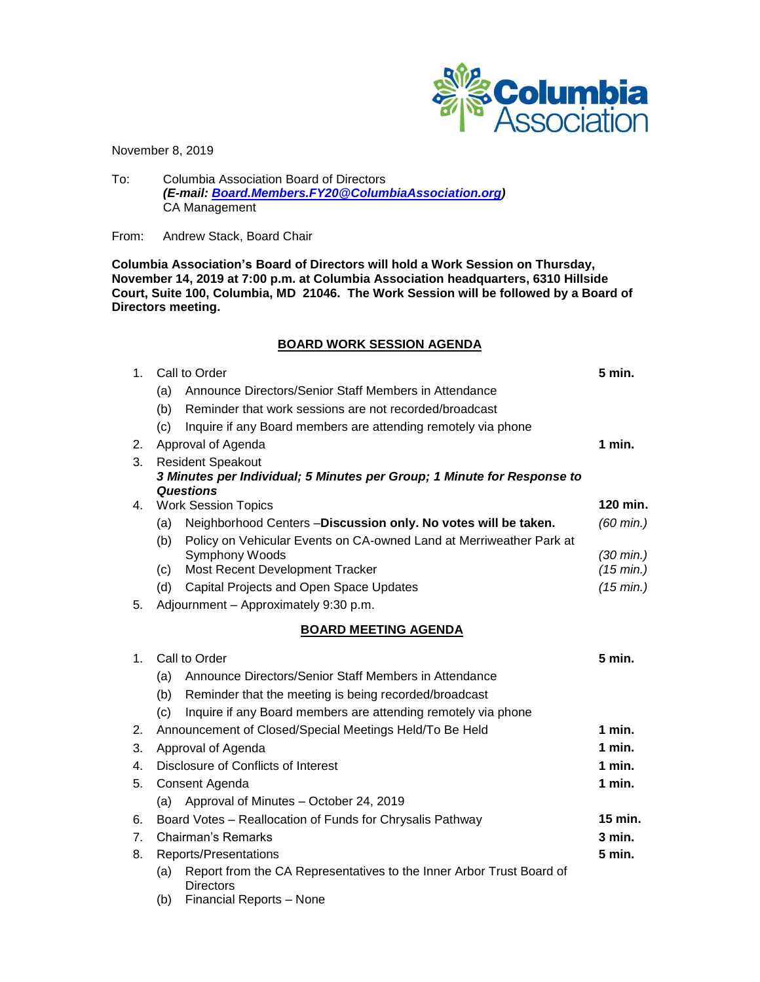

November 8, 2019

To: Columbia Association Board of Directors *(E-mail: [Board.Members.FY20@ColumbiaAssociation.org\)](mailto:Board.Members.FY20@ColumbiaAssociation.org)* CA Management

From: Andrew Stack, Board Chair

**Columbia Association's Board of Directors will hold a Work Session on Thursday, November 14, 2019 at 7:00 p.m. at Columbia Association headquarters, 6310 Hillside Court, Suite 100, Columbia, MD 21046. The Work Session will be followed by a Board of Directors meeting.**

# **BOARD WORK SESSION AGENDA**

| 1.             | Call to Order                                                           |                                                                                          | 5 min.              |
|----------------|-------------------------------------------------------------------------|------------------------------------------------------------------------------------------|---------------------|
|                | (a)                                                                     | Announce Directors/Senior Staff Members in Attendance                                    |                     |
|                | (b)                                                                     | Reminder that work sessions are not recorded/broadcast                                   |                     |
|                | (c)                                                                     | Inquire if any Board members are attending remotely via phone                            |                     |
| 2.             | Approval of Agenda                                                      |                                                                                          | 1 min.              |
| 3.<br>4.       | <b>Resident Speakout</b>                                                |                                                                                          |                     |
|                | 3 Minutes per Individual; 5 Minutes per Group; 1 Minute for Response to |                                                                                          |                     |
|                |                                                                         | <b>Questions</b><br><b>Work Session Topics</b>                                           | 120 min.            |
|                | Neighborhood Centers-Discussion only. No votes will be taken.<br>(a)    |                                                                                          | $(60 \text{ min.})$ |
|                | (b)                                                                     | Policy on Vehicular Events on CA-owned Land at Merriweather Park at                      |                     |
|                |                                                                         | Symphony Woods                                                                           | $(30 \text{ min.})$ |
|                | (c)                                                                     | Most Recent Development Tracker                                                          | (15 min.)           |
|                | (d)                                                                     | Capital Projects and Open Space Updates                                                  | (15 min.)           |
| 5.             |                                                                         | Adjournment - Approximately 9:30 p.m.                                                    |                     |
|                |                                                                         | <b>BOARD MEETING AGENDA</b>                                                              |                     |
| 1 <sub>1</sub> | Call to Order                                                           |                                                                                          | 5 min.              |
|                | Announce Directors/Senior Staff Members in Attendance<br>(a)            |                                                                                          |                     |
|                | (b)                                                                     | Reminder that the meeting is being recorded/broadcast                                    |                     |
|                | (c)                                                                     | Inquire if any Board members are attending remotely via phone                            |                     |
| 2.             | Announcement of Closed/Special Meetings Held/To Be Held                 |                                                                                          | 1 min.              |
| 3.             | Approval of Agenda                                                      |                                                                                          | 1 min.              |
| 4.             | Disclosure of Conflicts of Interest                                     |                                                                                          | 1 min.              |
| 5.             | Consent Agenda                                                          |                                                                                          | 1 min.              |
|                | (a)                                                                     | Approval of Minutes - October 24, 2019                                                   |                     |
| 6.             |                                                                         | Board Votes - Reallocation of Funds for Chrysalis Pathway                                | 15 min.             |
| 7.             | Chairman's Remarks                                                      |                                                                                          | $3$ min.            |
| 8.             | Reports/Presentations                                                   |                                                                                          | 5 min.              |
|                | (a)                                                                     | Report from the CA Representatives to the Inner Arbor Trust Board of<br><b>Directors</b> |                     |
|                | (b)                                                                     | Financial Reports - None                                                                 |                     |